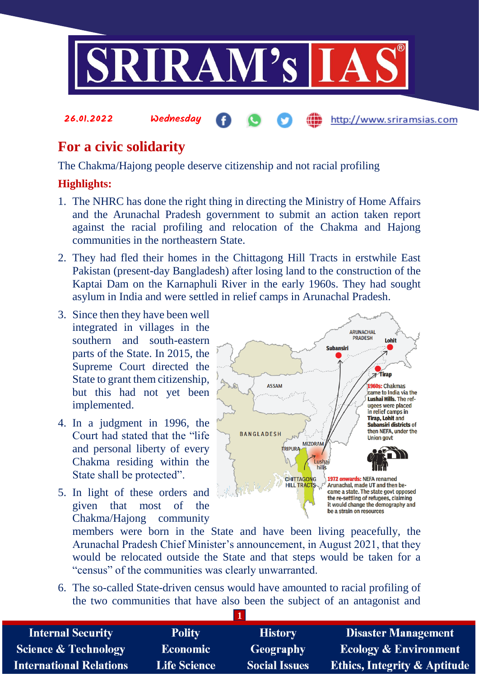

# **For a civic solidarity**

The Chakma/Hajong people deserve citizenship and not racial profiling

## **Highlights:**

- 1. The NHRC has done the right thing in directing the Ministry of Home Affairs and the Arunachal Pradesh government to submit an action taken report against the racial profiling and relocation of the Chakma and Hajong communities in the northeastern State.
- 2. They had fled their homes in the Chittagong Hill Tracts in erstwhile East Pakistan (present-day Bangladesh) after losing land to the construction of the Kaptai Dam on the Karnaphuli River in the early 1960s. They had sought asylum in India and were settled in relief camps in Arunachal Pradesh.
- 3. Since then they have been well integrated in villages in the southern and south-eastern parts of the State. In 2015, the Supreme Court directed the State to grant them citizenship, but this had not yet been implemented.
- 4. In a judgment in 1996, the Court had stated that the "life and personal liberty of every Chakma residing within the State shall be protected".
- 5. In light of these orders and given that most of the Chakma/Hajong community



members were born in the State and have been living peacefully, the Arunachal Pradesh Chief Minister's announcement, in August 2021, that they would be relocated outside the State and that steps would be taken for a "census" of the communities was clearly unwarranted.

6. The so-called State-driven census would have amounted to racial profiling of the two communities that have also been the subject of an antagonist and

| <b>Internal Security</b>        | <b>Polity</b>       | <b>History</b>       | <b>Disaster Management</b>              |
|---------------------------------|---------------------|----------------------|-----------------------------------------|
| <b>Science &amp; Technology</b> | <b>Economic</b>     | Geography            | <b>Ecology &amp; Environment</b>        |
| <b>International Relations</b>  | <b>Life Science</b> | <b>Social Issues</b> | <b>Ethics, Integrity &amp; Aptitude</b> |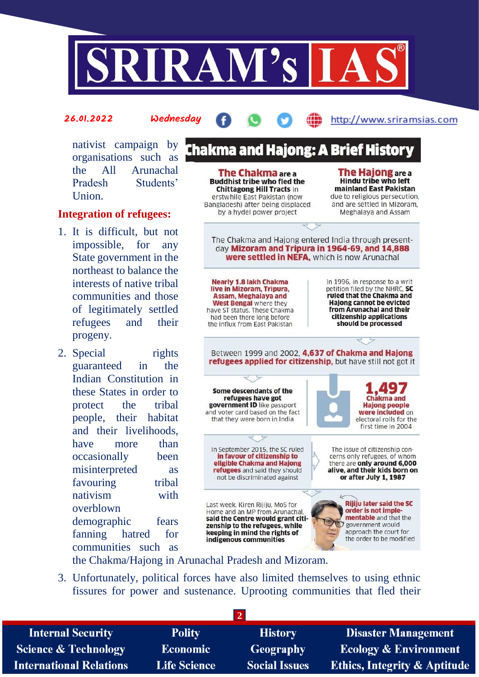

#### 26.01.2022 Wednesday

#### http://www.sriramsias.com

nativist campaign by organisations such as the All Arunachal Pradesh Students' Union.

#### **Integration of refugees:**

- 1. It is difficult, but not impossible, for any State government in the northeast to balance the interests of native tribal communities and those of legitimately settled refugees and their progeny.
- 2. Special rights guaranteed in the Indian Constitution in these States in order to protect the tribal people, their habitat and their livelihoods, have more than occasionally been misinterpreted as favouring tribal nativism with overblown demographic fears fanning hatred for communities such as

**Chakma and Hajong: A Brief History The Hajong** are a **The Chakma are a Hindu tribe who left Buddhist tribe who fled the** mainland East Pakistan **Chittagong Hill Tracts in** erstwhile East Pakistan (now due to religious persecution. Bangladesh) after being displaced and are settled in Mizoram. by a hydel power project Meghalaya and Assam The Chakma and Hajong entered India through presentday Mizoram and Tripura in 1964-69, and 14,888 were settled in NEFA. which is now Arunachal **Nearly 1.8 lakh Chakma** In 1996, in response to a writ live in Mizoram, Tripura. petition filed by the NHRC, SC **Assam, Meghalaya and** ruled that the Chakma and **Haiong cannot be evicted** West Bengal where they have ST status. These Chakma from Arunachal and their citizenship applications had been there long before should be processed the influx from Fast Pakistan Between 1999 and 2002, 4,637 of Chakma and Hajong refugees applied for citizenship, but have still not got it Some descendants of the refugees have got Chakma and government ID like passport **Haiong people** and voter card based on the fact were included on that they were born in India electoral rolls for the first time in 2004 In September 2015, the SC ruled The issue of citizenship conin favour of citizenship to cerns only refugees, of whom eligible Chakma and Hajong there are only around 6,000 refugees and said they should alive, and their kids born on or after July 1, 1987 not be discriminated against L **Rijiju later said the SC** Last week, Kiren Rijiju, MoS for order is not imple-Home and an MP from Arunachal mentable and that the said the Centre would grant citigovernment would zenship to the refugees, while approach the court for keeping in mind the rights of the order to be modified

the Chakma/Hajong in Arunachal Pradesh and Mizoram.

3. Unfortunately, political forces have also limited themselves to using ethnic fissures for power and sustenance. Uprooting communities that fled their

indigenous communities

| <b>Internal Security</b>        | <b>Polity</b>       | <b>History</b>       | <b>Disaster Management</b>              |
|---------------------------------|---------------------|----------------------|-----------------------------------------|
| <b>Science &amp; Technology</b> | <b>Economic</b>     | Geography            | <b>Ecology &amp; Environment</b>        |
| <b>International Relations</b>  | <b>Life Science</b> | <b>Social Issues</b> | <b>Ethics, Integrity &amp; Aptitude</b> |
|                                 |                     |                      |                                         |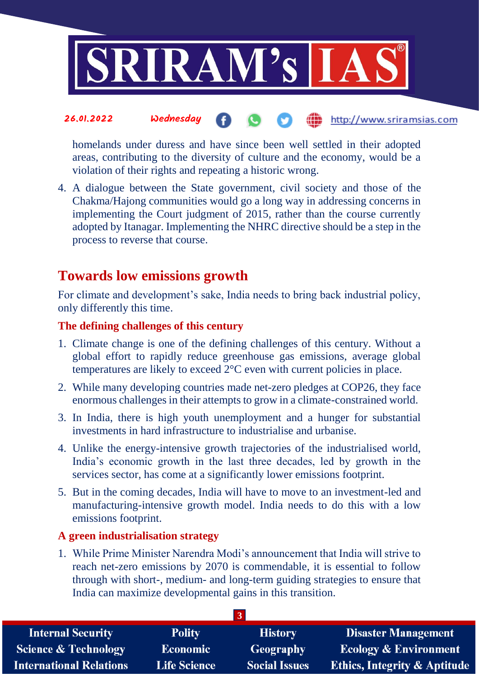

homelands under duress and have since been well settled in their adopted areas, contributing to the diversity of culture and the economy, would be a violation of their rights and repeating a historic wrong.

4. A dialogue between the State government, civil society and those of the Chakma/Hajong communities would go a long way in addressing concerns in implementing the Court judgment of 2015, rather than the course currently adopted by Itanagar. Implementing the NHRC directive should be a step in the process to reverse that course.

# **Towards low emissions growth**

For climate and development's sake, India needs to bring back industrial policy, only differently this time.

#### **The defining challenges of this century**

- 1. Climate change is one of the defining challenges of this century. Without a global effort to rapidly reduce greenhouse gas emissions, average global temperatures are likely to exceed 2°C even with current policies in place.
- 2. While many developing countries made net-zero pledges at COP26, they face enormous challenges in their attempts to grow in a climate-constrained world.
- 3. In India, there is high youth unemployment and a hunger for substantial investments in hard infrastructure to industrialise and urbanise.
- 4. Unlike the energy-intensive growth trajectories of the industrialised world, India's economic growth in the last three decades, led by growth in the services sector, has come at a significantly lower emissions footprint.
- 5. But in the coming decades, India will have to move to an investment-led and manufacturing-intensive growth model. India needs to do this with a low emissions footprint.

## **A green industrialisation strategy**

1. While Prime Minister Narendra Modi's announcement that India will strive to reach net-zero emissions by 2070 is commendable, it is essential to follow through with short-, medium- and long-term guiding strategies to ensure that India can maximize developmental gains in this transition.

| <b>Internal Security</b>        | <b>Polity</b>       | <b>History</b>       | <b>Disaster Management</b>              |
|---------------------------------|---------------------|----------------------|-----------------------------------------|
| <b>Science &amp; Technology</b> | <b>Economic</b>     | Geography            | <b>Ecology &amp; Environment</b>        |
| <b>International Relations</b>  | <b>Life Science</b> | <b>Social Issues</b> | <b>Ethics, Integrity &amp; Aptitude</b> |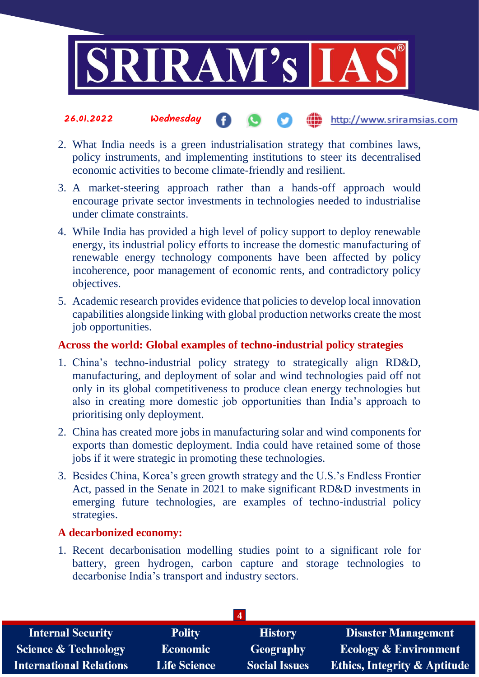

#### the http://www.sriramsias.com 26.01.2022 Wednesday

- 2. What India needs is a green industrialisation strategy that combines laws, policy instruments, and implementing institutions to steer its decentralised economic activities to become climate-friendly and resilient.
- 3. A market-steering approach rather than a hands-off approach would encourage private sector investments in technologies needed to industrialise under climate constraints.
- 4. While India has provided a high level of policy support to deploy renewable energy, its industrial policy efforts to increase the domestic manufacturing of renewable energy technology components have been affected by policy incoherence, poor management of economic rents, and contradictory policy objectives.
- 5. Academic research provides evidence that policies to develop local innovation capabilities alongside linking with global production networks create the most job opportunities.

## **Across the world: Global examples of techno-industrial policy strategies**

- 1. China's techno-industrial policy strategy to strategically align RD&D, manufacturing, and deployment of solar and wind technologies paid off not only in its global competitiveness to produce clean energy technologies but also in creating more domestic job opportunities than India's approach to prioritising only deployment.
- 2. China has created more jobs in manufacturing solar and wind components for exports than domestic deployment. India could have retained some of those jobs if it were strategic in promoting these technologies.
- 3. Besides China, Korea's green growth strategy and the U.S.'s Endless Frontier Act, passed in the Senate in 2021 to make significant RD&D investments in emerging future technologies, are examples of techno-industrial policy strategies.

#### **A decarbonized economy:**

1. Recent decarbonisation modelling studies point to a significant role for battery, green hydrogen, carbon capture and storage technologies to decarbonise India's transport and industry sectors.

| $\overline{a}$                  |                     |                      |                                         |
|---------------------------------|---------------------|----------------------|-----------------------------------------|
| <b>Internal Security</b>        | <b>Polity</b>       | <b>History</b>       | <b>Disaster Management</b>              |
| <b>Science &amp; Technology</b> | <b>Economic</b>     | <b>Geography</b>     | <b>Ecology &amp; Environment</b>        |
| <b>International Relations</b>  | <b>Life Science</b> | <b>Social Issues</b> | <b>Ethics, Integrity &amp; Aptitude</b> |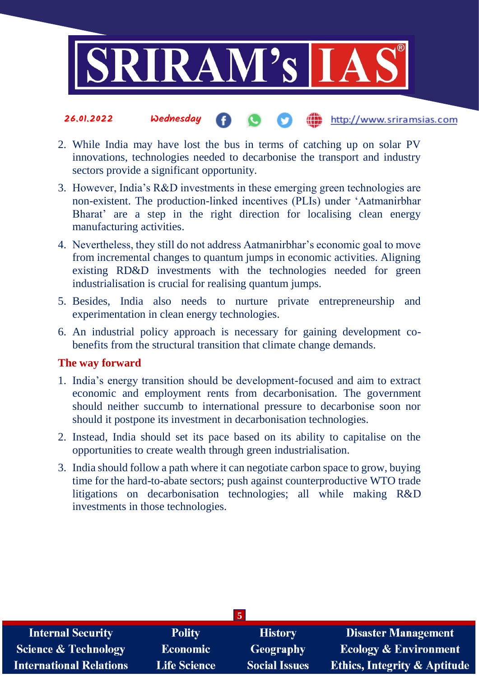

#### 26.01.2022 Wednesday the http://www.sriramsias.com

- 2. While India may have lost the bus in terms of catching up on solar PV innovations, technologies needed to decarbonise the transport and industry sectors provide a significant opportunity.
- 3. However, India's R&D investments in these emerging green technologies are non-existent. The production-linked incentives (PLIs) under 'Aatmanirbhar Bharat' are a step in the right direction for localising clean energy manufacturing activities.
- 4. Nevertheless, they still do not address Aatmanirbhar's economic goal to move from incremental changes to quantum jumps in economic activities. Aligning existing RD&D investments with the technologies needed for green industrialisation is crucial for realising quantum jumps.
- 5. Besides, India also needs to nurture private entrepreneurship and experimentation in clean energy technologies.
- 6. An industrial policy approach is necessary for gaining development cobenefits from the structural transition that climate change demands.

#### **The way forward**

- 1. India's energy transition should be development-focused and aim to extract economic and employment rents from decarbonisation. The government should neither succumb to international pressure to decarbonise soon nor should it postpone its investment in decarbonisation technologies.
- 2. Instead, India should set its pace based on its ability to capitalise on the opportunities to create wealth through green industrialisation.
- 3. India should follow a path where it can negotiate carbon space to grow, buying time for the hard-to-abate sectors; push against counterproductive WTO trade litigations on decarbonisation technologies; all while making R&D investments in those technologies.

| <b>Internal Security</b>        | <b>Polity</b>       | <b>History</b>       | Disaster Management                     |
|---------------------------------|---------------------|----------------------|-----------------------------------------|
| <b>Science &amp; Technology</b> | <b>Economic</b>     | Geography            | <b>Ecology &amp; Environment</b>        |
| <b>International Relations</b>  | <b>Life Science</b> | <b>Social Issues</b> | <b>Ethics, Integrity &amp; Aptitude</b> |